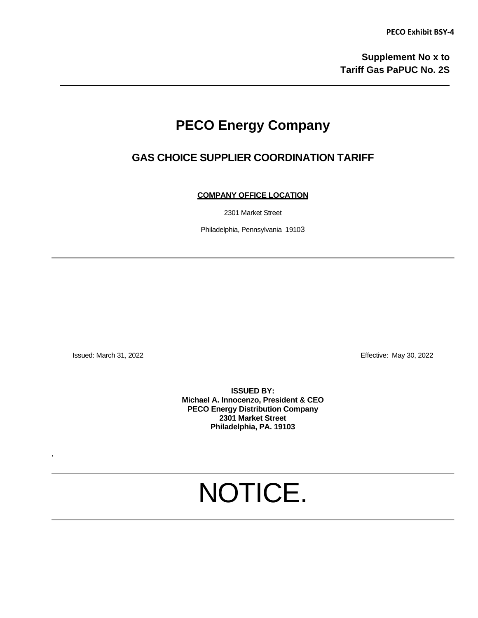## **PECO Energy Company**

### **GAS CHOICE SUPPLIER COORDINATION TARIFF**

**COMPANY OFFICE LOCATION**

2301 Market Street

Philadelphia, Pennsylvania 19103

Issued: March 31, 2022 Effective: May 30, 2022

**.** 

**ISSUED BY: Michael A. Innocenzo, President & CEO PECO Energy Distribution Company 2301 Market Street Philadelphia, PA. 19103**

# NOTICE.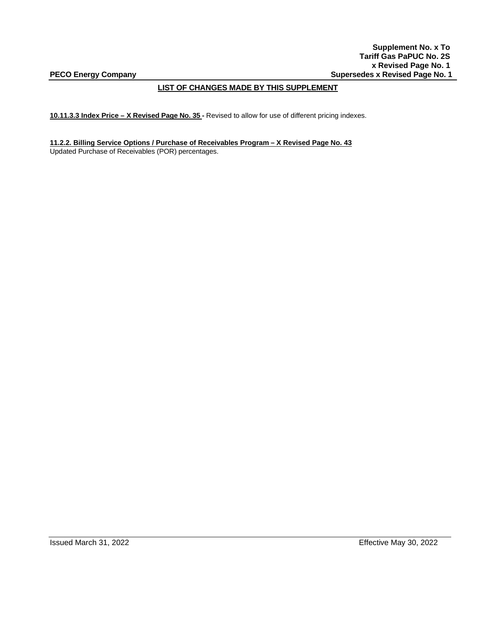**Supplement No. x To Tariff Gas PaPUC No. 2S x Revised Page No. 1** PECO Energy Company **Supersedes x Revised Page No. 1 Supersedes x Revised Page No. 1** 

#### **LIST OF CHANGES MADE BY THIS SUPPLEMENT**

**10.11.3.3 Index Price – X Revised Page No. 35 -** Revised to allow for use of different pricing indexes.

**11.2.2. Billing Service Options / Purchase of Receivables Program – X Revised Page No. 43** Updated Purchase of Receivables (POR) percentages.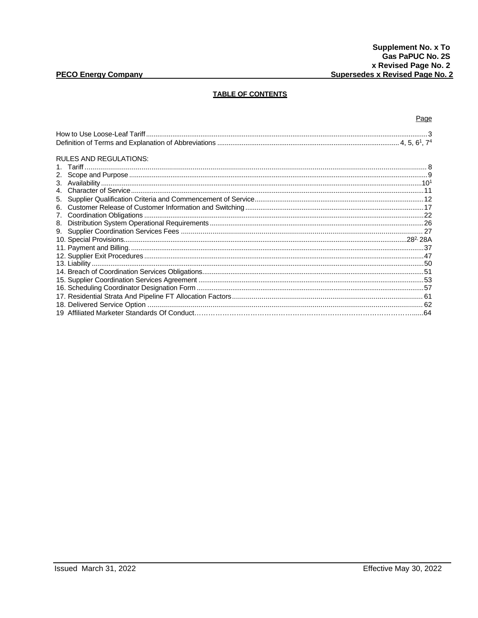#### **PECO Energy Company**

#### **TABLE OF CONTENTS**

Page **RULES AND REGULATIONS:**  $7<sup>1</sup>$ 9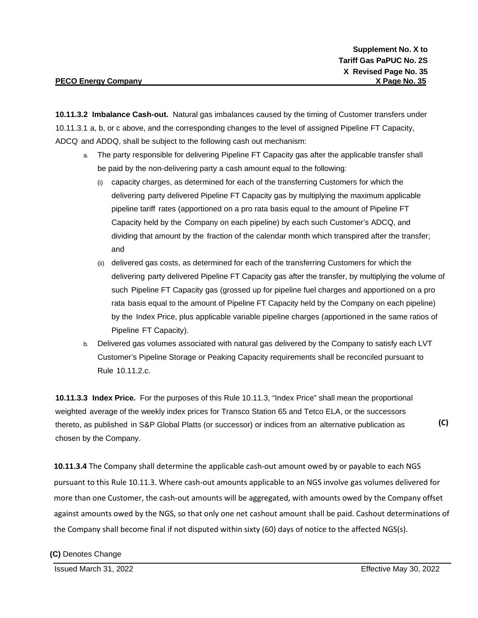**10.11.3.2 Imbalance Cash-out.** Natural gas imbalances caused by the timing of Customer transfers under 10.11.3.1 a, b, or c above, and the corresponding changes to the level of assigned Pipeline FT Capacity, ADCQ and ADDQ, shall be subject to the following cash out mechanism:

- a. The party responsible for delivering Pipeline FT Capacity gas after the applicable transfer shall be paid by the non-delivering party a cash amount equal to the following:
	- (i) capacity charges, as determined for each of the transferring Customers for which the delivering party delivered Pipeline FT Capacity gas by multiplying the maximum applicable pipeline tariff rates (apportioned on a pro rata basis equal to the amount of Pipeline FT Capacity held by the Company on each pipeline) by each such Customer's ADCQ, and dividing that amount by the fraction of the calendar month which transpired after the transfer; and
	- (ii) delivered gas costs, as determined for each of the transferring Customers for which the delivering party delivered Pipeline FT Capacity gas after the transfer, by multiplying the volume of such Pipeline FT Capacity gas (grossed up for pipeline fuel charges and apportioned on a pro rata basis equal to the amount of Pipeline FT Capacity held by the Company on each pipeline) by the Index Price, plus applicable variable pipeline charges (apportioned in the same ratios of Pipeline FT Capacity).
- b. Delivered gas volumes associated with natural gas delivered by the Company to satisfy each LVT Customer's Pipeline Storage or Peaking Capacity requirements shall be reconciled pursuant to Rule 10.11.2.c.

**10.11.3.3 Index Price.** For the purposes of this Rule 10.11.3, "Index Price" shall mean the proportional weighted average of the weekly index prices for Transco Station 65 and Tetco ELA, or the successors thereto, as published in S&P Global Platts (or successor) or indices from an alternative publication as chosen by the Company.

**10.11.3.4** The Company shall determine the applicable cash-out amount owed by or payable to each NGS pursuant to this Rule 10.11.3. Where cash-out amounts applicable to an NGS involve gas volumes delivered for more than one Customer, the cash-out amounts will be aggregated, with amounts owed by the Company offset against amounts owed by the NGS, so that only one net cashout amount shall be paid. Cashout determinations of the Company shall become final if not disputed within sixty (60) days of notice to the affected NGS(s).

**(C)** Denotes Change

**(C)**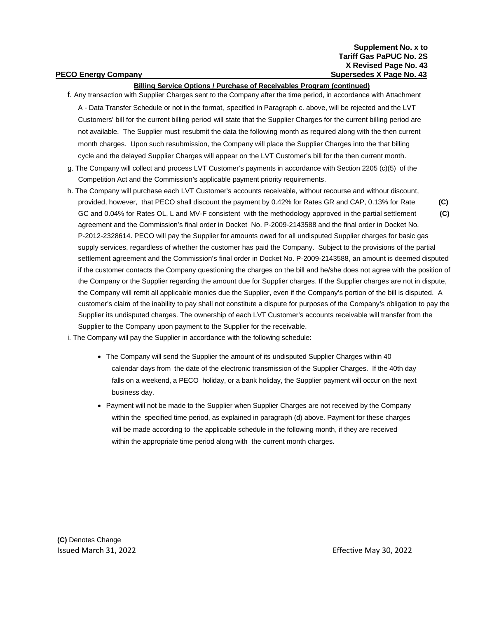#### **Billing Service Options / Purchase of Receivables Program (continued)**

- f. Any transaction with Supplier Charges sent to the Company after the time period, in accordance with Attachment A - Data Transfer Schedule or not in the format, specified in Paragraph c. above, will be rejected and the LVT Customers' bill for the current billing period will state that the Supplier Charges for the current billing period are not available. The Supplier must resubmit the data the following month as required along with the then current month charges. Upon such resubmission, the Company will place the Supplier Charges into the that billing cycle and the delayed Supplier Charges will appear on the LVT Customer's bill for the then current month.
- g. The Company will collect and process LVT Customer's payments in accordance with Section 2205 (c)(5) of the Competition Act and the Commission's applicable payment priority requirements.
- h. The Company will purchase each LVT Customer's accounts receivable, without recourse and without discount, provided, however, that PECO shall discount the payment by 0.42% for Rates GR and CAP, 0.13% for Rate **(C)** GC and 0.04% for Rates OL, L and MV-F consistent with the methodology approved in the partial settlement **(C)** agreement and the Commission's final order in Docket No. P-2009-2143588 and the final order in Docket No. P-2012-2328614. PECO will pay the Supplier for amounts owed for all undisputed Supplier charges for basic gas supply services, regardless of whether the customer has paid the Company. Subject to the provisions of the partial settlement agreement and the Commission's final order in Docket No. P-2009-2143588, an amount is deemed disputed if the customer contacts the Company questioning the charges on the bill and he/she does not agree with the position of the Company or the Supplier regarding the amount due for Supplier charges. If the Supplier charges are not in dispute, the Company will remit all applicable monies due the Supplier, even if the Company's portion of the bill is disputed. A customer's claim of the inability to pay shall not constitute a dispute for purposes of the Company's obligation to pay the Supplier its undisputed charges. The ownership of each LVT Customer's accounts receivable will transfer from the Supplier to the Company upon payment to the Supplier for the receivable.

i. The Company will pay the Supplier in accordance with the following schedule:

- The Company will send the Supplier the amount of its undisputed Supplier Charges within 40 calendar days from the date of the electronic transmission of the Supplier Charges. If the 40th day falls on a weekend, a PECO holiday, or a bank holiday, the Supplier payment will occur on the next business day.
- Payment will not be made to the Supplier when Supplier Charges are not received by the Company within the specified time period, as explained in paragraph (d) above. Payment for these charges will be made according to the applicable schedule in the following month, if they are received within the appropriate time period along with the current month charges.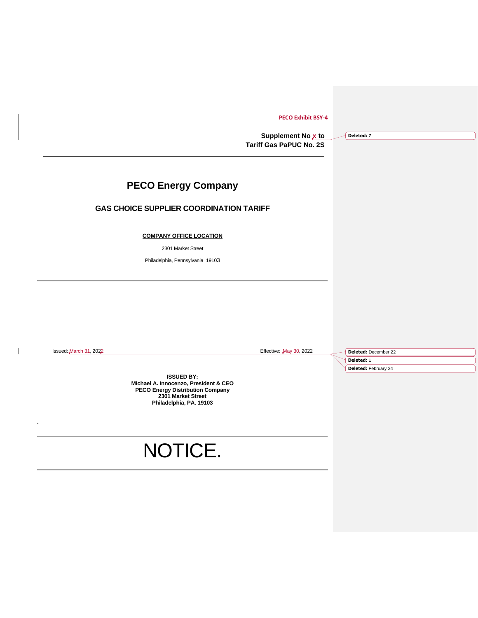#### **PECO Exhibit BSY-4**

**Supplement No x to Tariff Gas PaPUC No. 2S**

**Deleted: 7**

#### **PECO Energy Company**

#### **GAS CHOICE SUPPLIER COORDINATION TARIFF**

#### **COMPANY OFFICE LOCATION**

2301 Market Street

Philadelphia, Pennsylvania 19103

**.**

 $\mathbf{I}$ 

Issued: March 31, 2022 Effective: May 30, 2022

**Deleted:** December 22 **Deleted:** 1 **Deleted:** February 24

**ISSUED BY: Michael A. Innocenzo, President & CEO PECO Energy Distribution Company 2301 Market Street Philadelphia, PA. 19103**

## NOTICE.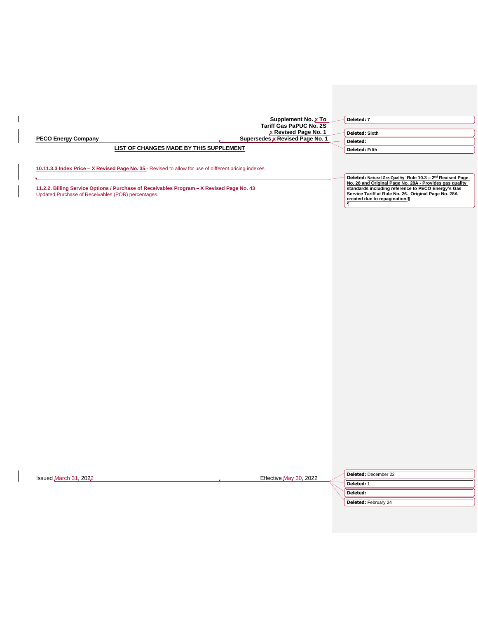|                                         | Supplement No. x To<br><b>Tariff Gas PaPUC No. 2S</b><br>x Revised Page No. 1                          | Deleted: 7<br><b>Deleted: Sixth</b>                                   |
|-----------------------------------------|--------------------------------------------------------------------------------------------------------|-----------------------------------------------------------------------|
| <b>PECO Energy Company</b>              | Supersedes x Revised Page No. 1                                                                        | Deleted:                                                              |
| LIST OF CHANGES MADE BY THIS SUPPLEMENT |                                                                                                        | <b>Deleted: Fifth</b>                                                 |
|                                         | 10.11.3.3 Index Price – X Revised Page No. 35 - Revised to allow for use of different pricing indexes. | Deleted: Natural Gas Quality Rule 10.3 - 2 <sup>nd</sup> Revised Page |

**11.2.2. Billing Service Options / Purchase of Receivables Program – X Revised Page No. 43** Updated Purchase of Receivables (POR) percentages.

 $\overline{\phantom{a}}$ 

| No. 28 and Original Page No. 28A - Provides gas quality |
|---------------------------------------------------------|
| standards including reference to PECO Energy's Gas      |
| Service Tariff at Rule No. 26. Original Page No. 28A    |
| created due to repagination.¶                           |
|                                                         |

| Issued March 31, 2022 | Effective May 30, 2022 | Deleted: December 22 |
|-----------------------|------------------------|----------------------|
|                       |                        | <b>Deleted:</b> 1    |
|                       |                        | <b>Deleted:</b>      |
|                       |                        | Deleted: February 24 |
|                       |                        |                      |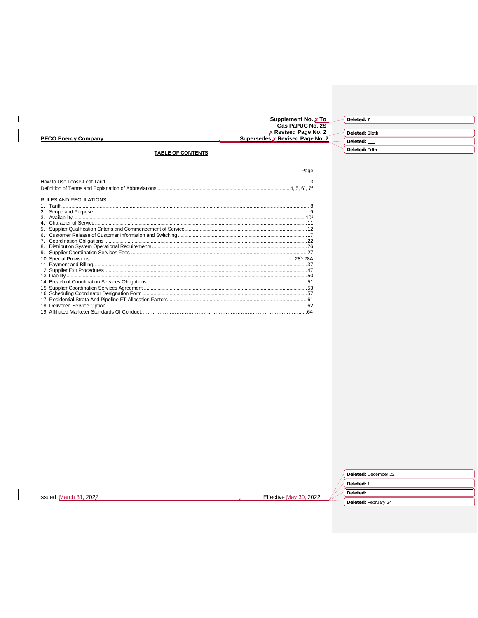

| <b>RULES AND REGULATIONS:</b> |  |
|-------------------------------|--|
|                               |  |
| 2.                            |  |
|                               |  |
| $\overline{4}$                |  |
| 5.                            |  |
|                               |  |
| 7.                            |  |
| 8.                            |  |
| 9.                            |  |
|                               |  |
|                               |  |
|                               |  |
|                               |  |
|                               |  |
|                               |  |
|                               |  |
|                               |  |
|                               |  |
|                               |  |
|                               |  |

 $\mathbf{I}$ 

|                       |                        | Deleted: December 22 |
|-----------------------|------------------------|----------------------|
|                       |                        | Deleted: 1           |
| Issued March 31, 2022 | Effective May 30, 2022 | Deleted:             |
|                       |                        | Deleted: February 24 |
|                       |                        |                      |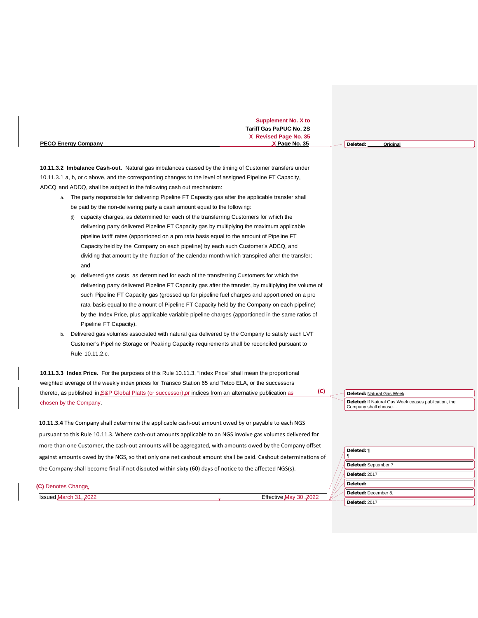|                            | Supplement No. X to            |                      |
|----------------------------|--------------------------------|----------------------|
|                            | <b>Tariff Gas PaPUC No. 2S</b> |                      |
|                            | X Revised Page No. 35          |                      |
| <b>PECO Energy Company</b> | X Page No. 35                  | Original<br>Deleted: |

**10.11.3.2 Imbalance Cash-out.** Natural gas imbalances caused by the timing of Customer transfers under 10.11.3.1 a, b, or c above, and the corresponding changes to the level of assigned Pipeline FT Capacity, ADCQ and ADDQ, shall be subject to the following cash out mechanism:

- a. The party responsible for delivering Pipeline FT Capacity gas after the applicable transfer shall be paid by the non-delivering party a cash amount equal to the following:
	- (i) capacity charges, as determined for each of the transferring Customers for which the delivering party delivered Pipeline FT Capacity gas by multiplying the maximum applicable pipeline tariff rates (apportioned on a pro rata basis equal to the amount of Pipeline FT Capacity held by the Company on each pipeline) by each such Customer's ADCQ, and dividing that amount by the fraction of the calendar month which transpired after the transfer; and
	- (ii) delivered gas costs, as determined for each of the transferring Customers for which the delivering party delivered Pipeline FT Capacity gas after the transfer, by multiplying the volume of such Pipeline FT Capacity gas (grossed up for pipeline fuel charges and apportioned on a pro rata basis equal to the amount of Pipeline FT Capacity held by the Company on each pipeline) by the Index Price, plus applicable variable pipeline charges (apportioned in the same ratios of Pipeline FT Capacity).
- b. Delivered gas volumes associated with natural gas delivered by the Company to satisfy each LVT Customer's Pipeline Storage or Peaking Capacity requirements shall be reconciled pursuant to Rule 10.11.2.c.

**10.11.3.3 Index Price.** For the purposes of this Rule 10.11.3, "Index Price" shall mean the proportional weighted average of the weekly index prices for Transco Station 65 and Tetco ELA, or the successors thereto, as published in S&P Global Platts (or successor) or indices from an alternative publication as chosen by the Company.

**10.11.3.4** The Company shall determine the applicable cash-out amount owed by or payable to each NGS pursuant to this Rule 10.11.3. Where cash-out amounts applicable to an NGS involve gas volumes delivered for more than one Customer, the cash-out amounts will be aggregated, with amounts owed by the Company offset against amounts owed by the NGS, so that only one net cashout amount shall be paid. Cashout determinations of the Company shall become final if not disputed within sixty (60) days of notice to the affected NGS(s).

**Deleted:** Natural Gas Week.

**(C)**

**Deleted:** If Natural Gas Week ceases publication, the Company shall choose…

| Deleted: ¶           |
|----------------------|
| Deleted: September 7 |
| Deleted: 2017        |
| Deleted:             |
| Deleted: December 8, |
| Deleted: 2017        |

**(C)** Denotes Change

Issued March 31, 2022 Effective May 30, 2022